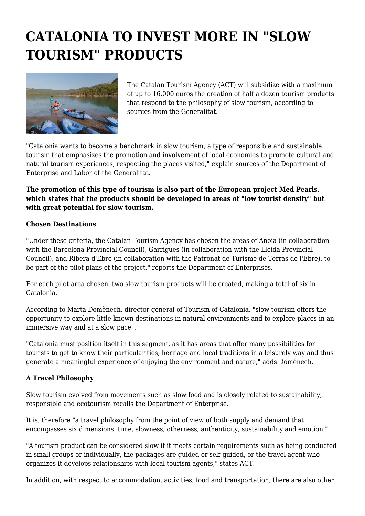## **CATALONIA TO INVEST MORE IN "SLOW TOURISM" PRODUCTS**



The Catalan Tourism Agency (ACT) will subsidize with a maximum of up to 16,000 euros the creation of half a dozen tourism products that respond to the philosophy of slow tourism, according to sources from the Generalitat.

"Catalonia wants to become a benchmark in slow tourism, a type of responsible and sustainable tourism that emphasizes the promotion and involvement of local economies to promote cultural and natural tourism experiences, respecting the places visited," explain sources of the Department of Enterprise and Labor of the Generalitat.

## **The promotion of this type of tourism is also part of the European project Med Pearls, which states that the products should be developed in areas of "low tourist density" but with great potential for slow tourism.**

## **Chosen Destinations**

"Under these criteria, the Catalan Tourism Agency has chosen the areas of Anoia (in collaboration with the Barcelona Provincial Council), Garrigues (in collaboration with the Lleida Provincial Council), and Ribera d'Ebre (in collaboration with the Patronat de Turisme de Terras de l'Ebre), to be part of the pilot plans of the project," reports the Department of Enterprises.

For each pilot area chosen, two slow tourism products will be created, making a total of six in Catalonia.

According to Marta Domènech, director general of Tourism of Catalonia, "slow tourism offers the opportunity to explore little-known destinations in natural environments and to explore places in an immersive way and at a slow pace".

"Catalonia must position itself in this segment, as it has areas that offer many possibilities for tourists to get to know their particularities, heritage and local traditions in a leisurely way and thus generate a meaningful experience of enjoying the environment and nature," adds Domènech.

## **A Travel Philosophy**

Slow tourism evolved from movements such as slow food and is closely related to sustainability, responsible and ecotourism recalls the Department of Enterprise.

It is, therefore "a travel philosophy from the point of view of both supply and demand that encompasses six dimensions: time, slowness, otherness, authenticity, sustainability and emotion."

"A tourism product can be considered slow if it meets certain requirements such as being conducted in small groups or individually, the packages are guided or self-guided, or the travel agent who organizes it develops relationships with local tourism agents," states ACT.

In addition, with respect to accommodation, activities, food and transportation, there are also other